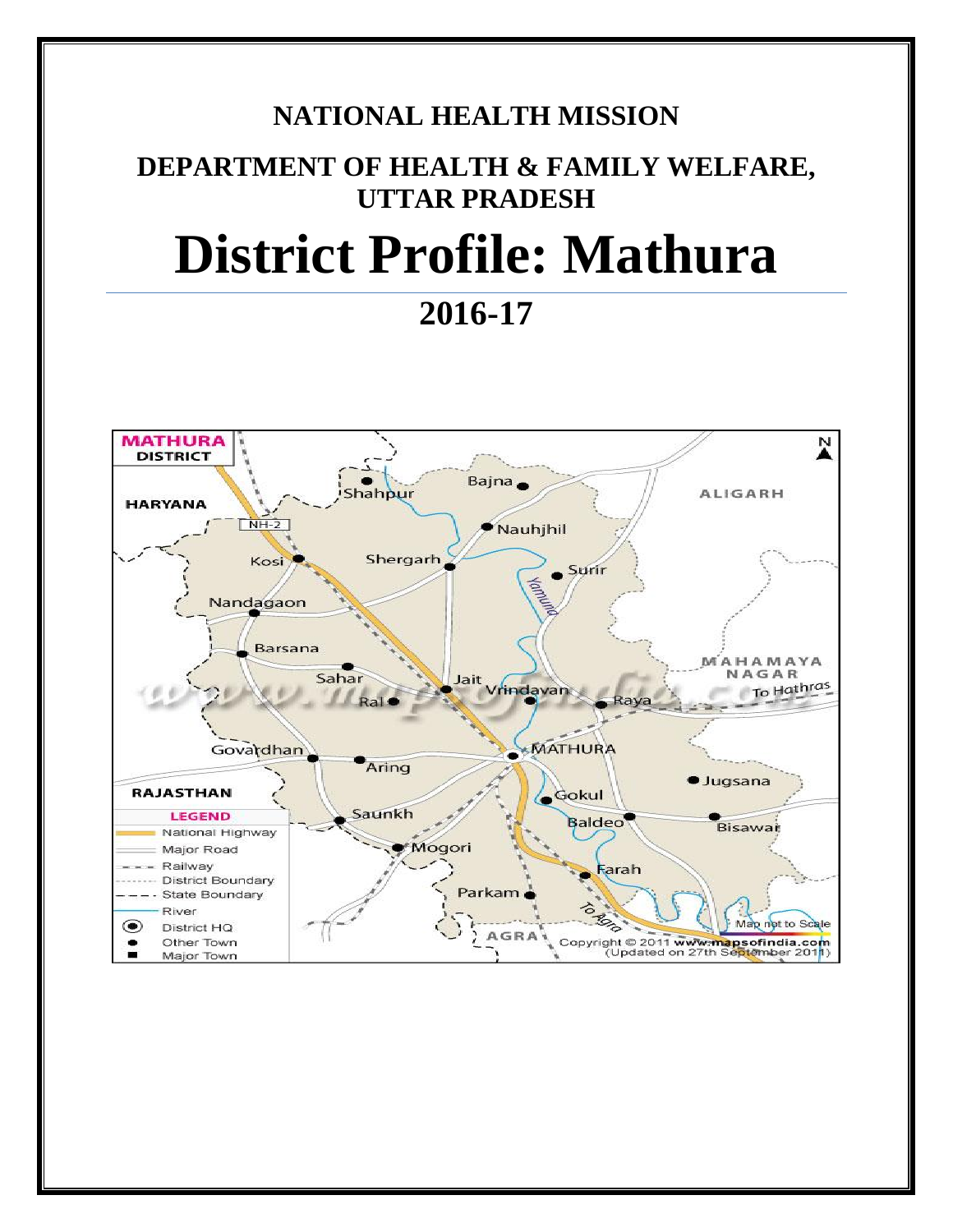# **NATIONAL HEALTH MISSION**

# **DEPARTMENT OF HEALTH & FAMILY WELFARE, UTTAR PRADESH**

# **District Profile: Mathura**

# **2016-17**

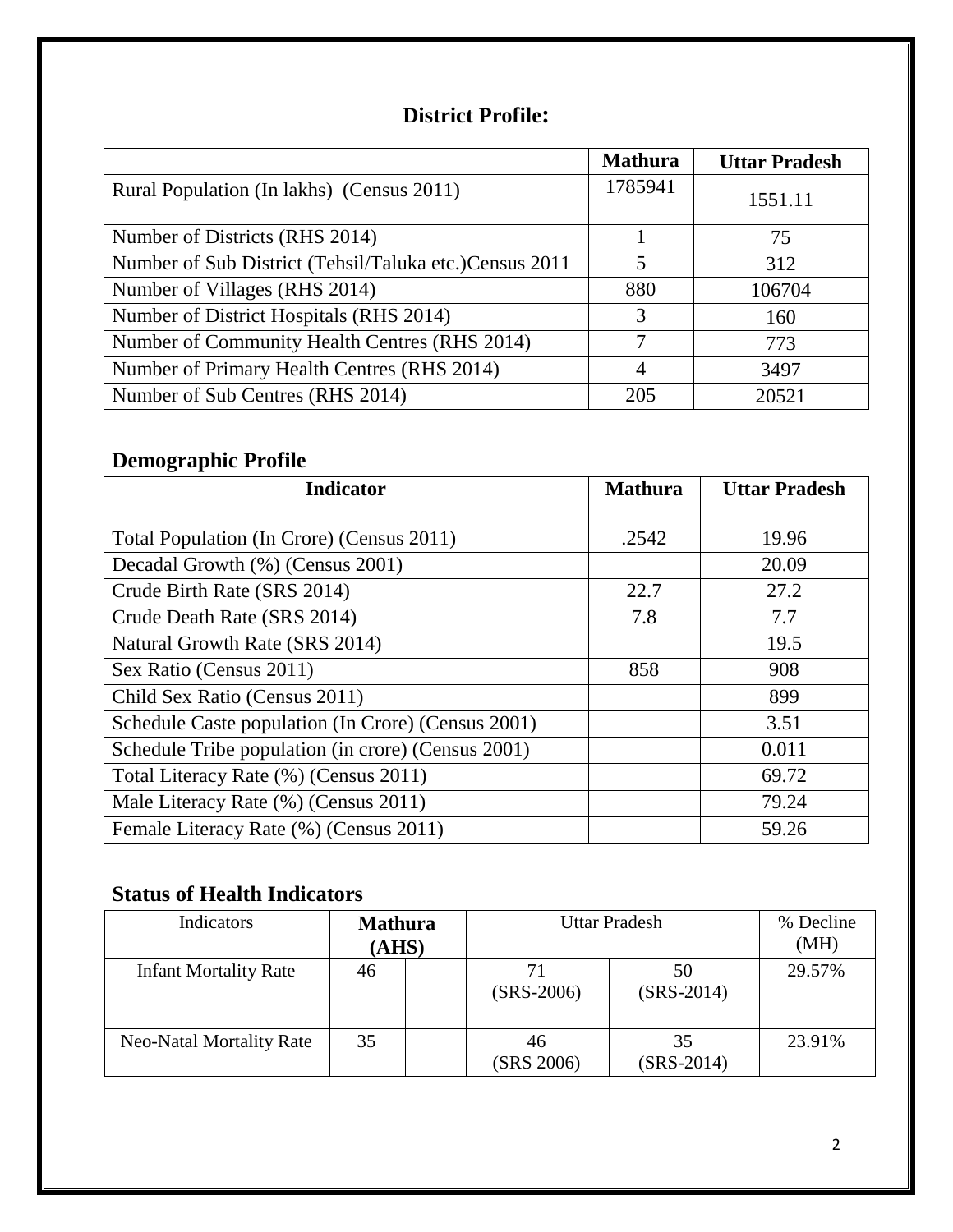#### **District Profile:**

|                                                         | <b>Mathura</b> | <b>Uttar Pradesh</b> |
|---------------------------------------------------------|----------------|----------------------|
| Rural Population (In lakhs) (Census 2011)               | 1785941        | 1551.11              |
| Number of Districts (RHS 2014)                          |                | 75                   |
| Number of Sub District (Tehsil/Taluka etc.) Census 2011 | 5              | 312                  |
| Number of Villages (RHS 2014)                           | 880            | 106704               |
| Number of District Hospitals (RHS 2014)                 | 3              | 160                  |
| Number of Community Health Centres (RHS 2014)           | 7              | 773                  |
| Number of Primary Health Centres (RHS 2014)             | 4              | 3497                 |
| Number of Sub Centres (RHS 2014)                        | 205            | 20521                |

# **Demographic Profile**

| <b>Indicator</b>                                   | <b>Mathura</b> | <b>Uttar Pradesh</b> |
|----------------------------------------------------|----------------|----------------------|
|                                                    |                |                      |
| Total Population (In Crore) (Census 2011)          | .2542          | 19.96                |
| Decadal Growth (%) (Census 2001)                   |                | 20.09                |
| Crude Birth Rate (SRS 2014)                        | 22.7           | 27.2                 |
| Crude Death Rate (SRS 2014)                        | 7.8            | 7.7                  |
| Natural Growth Rate (SRS 2014)                     |                | 19.5                 |
| Sex Ratio (Census 2011)                            | 858            | 908                  |
| Child Sex Ratio (Census 2011)                      |                | 899                  |
| Schedule Caste population (In Crore) (Census 2001) |                | 3.51                 |
| Schedule Tribe population (in crore) (Census 2001) |                | 0.011                |
| Total Literacy Rate (%) (Census 2011)              |                | 69.72                |
| Male Literacy Rate (%) (Census 2011)               |                | 79.24                |
| Female Literacy Rate (%) (Census 2011)             |                | 59.26                |

#### **Status of Health Indicators**

| Indicators                      | <b>Mathura</b><br>(AHS) | <b>Uttar Pradesh</b> |                    | % Decline<br>(MH) |
|---------------------------------|-------------------------|----------------------|--------------------|-------------------|
| <b>Infant Mortality Rate</b>    | 46                      | $(SRS-2006)$         | 50<br>$(SRS-2014)$ | 29.57%            |
| <b>Neo-Natal Mortality Rate</b> | 35                      | 46<br>(SRS 2006)     | 35<br>$(SRS-2014)$ | 23.91%            |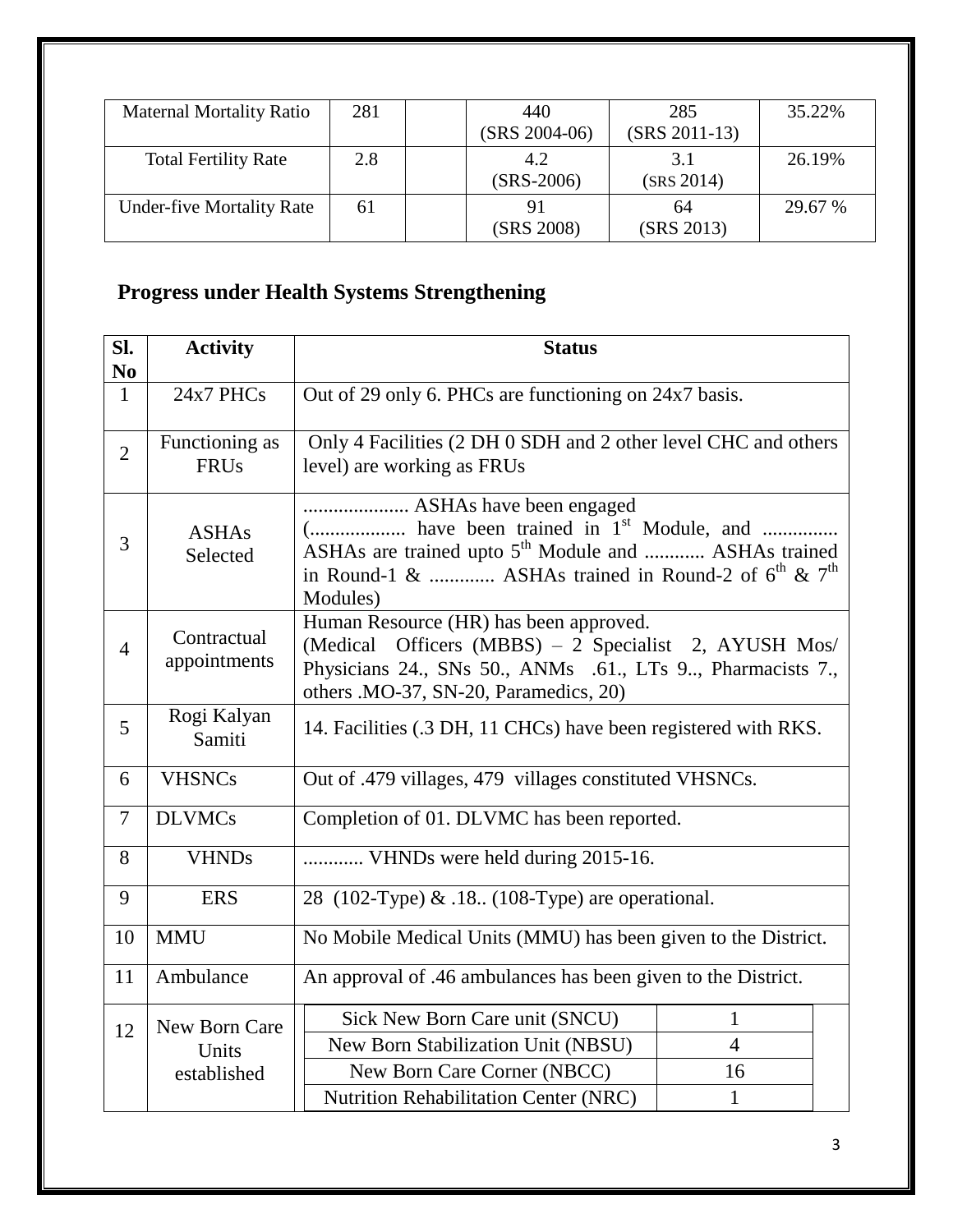| <b>Maternal Mortality Ratio</b>  | 281 | 440<br>$(SRS 2004-06)$ | 285<br>$(SRS 2011-13)$ | 35.22%  |
|----------------------------------|-----|------------------------|------------------------|---------|
| <b>Total Fertility Rate</b>      | 2.8 | 4.2<br>$(SRS-2006)$    | 3.1<br>(SRS 2014)      | 26.19%  |
| <b>Under-five Mortality Rate</b> | 61  | (SRS 2008)             | 64<br>(SRS 2013)       | 29.67 % |

# **Progress under Health Systems Strengthening**

| Sl.<br>N <sub>0</sub> | <b>Activity</b>                       | <b>Status</b>                                                                                                                                                                                                                  |                                      |  |
|-----------------------|---------------------------------------|--------------------------------------------------------------------------------------------------------------------------------------------------------------------------------------------------------------------------------|--------------------------------------|--|
| $\mathbf{1}$          | 24x7 PHCs                             | Out of 29 only 6. PHCs are functioning on 24x7 basis.                                                                                                                                                                          |                                      |  |
| $\overline{2}$        | Functioning as<br><b>FRUs</b>         | Only 4 Facilities (2 DH 0 SDH and 2 other level CHC and others<br>level) are working as FRUs                                                                                                                                   |                                      |  |
| 3                     | <b>ASHAs</b><br>Selected              | ASHAs have been engaged<br>( have been trained in 1 <sup>st</sup> Module, and<br>ASHAs are trained upto 5 <sup>th</sup> Module and  ASHAs trained<br>in Round-1 &  ASHAs trained in Round-2 of $6^{th}$ & $7^{th}$<br>Modules) |                                      |  |
| $\overline{4}$        | Contractual<br>appointments           | Human Resource (HR) has been approved.<br>(Medical Officers (MBBS) - 2 Specialist 2, AYUSH Mos/<br>Physicians 24., SNs 50., ANMs .61., LTs 9, Pharmacists 7.,<br>others . MO-37, SN-20, Paramedics, 20)                        |                                      |  |
| 5                     | Rogi Kalyan<br>Samiti                 | 14. Facilities (.3 DH, 11 CHCs) have been registered with RKS.                                                                                                                                                                 |                                      |  |
| 6                     | <b>VHSNCs</b>                         | Out of .479 villages, 479 villages constituted VHSNCs.                                                                                                                                                                         |                                      |  |
| $\overline{7}$        | <b>DLVMCs</b>                         | Completion of 01. DLVMC has been reported.                                                                                                                                                                                     |                                      |  |
| 8                     | <b>VHNDs</b>                          | VHNDs were held during 2015-16.                                                                                                                                                                                                |                                      |  |
| 9                     | <b>ERS</b>                            | 28 (102-Type) & .18 (108-Type) are operational.                                                                                                                                                                                |                                      |  |
| 10                    | <b>MMU</b>                            | No Mobile Medical Units (MMU) has been given to the District.                                                                                                                                                                  |                                      |  |
| 11                    | Ambulance                             | An approval of .46 ambulances has been given to the District.                                                                                                                                                                  |                                      |  |
| 12                    | New Born Care<br>Units<br>established | Sick New Born Care unit (SNCU)<br>New Born Stabilization Unit (NBSU)<br>New Born Care Corner (NBCC)                                                                                                                            | $\mathbf{1}$<br>$\overline{4}$<br>16 |  |
|                       |                                       | Nutrition Rehabilitation Center (NRC)                                                                                                                                                                                          | $\mathbf{1}$                         |  |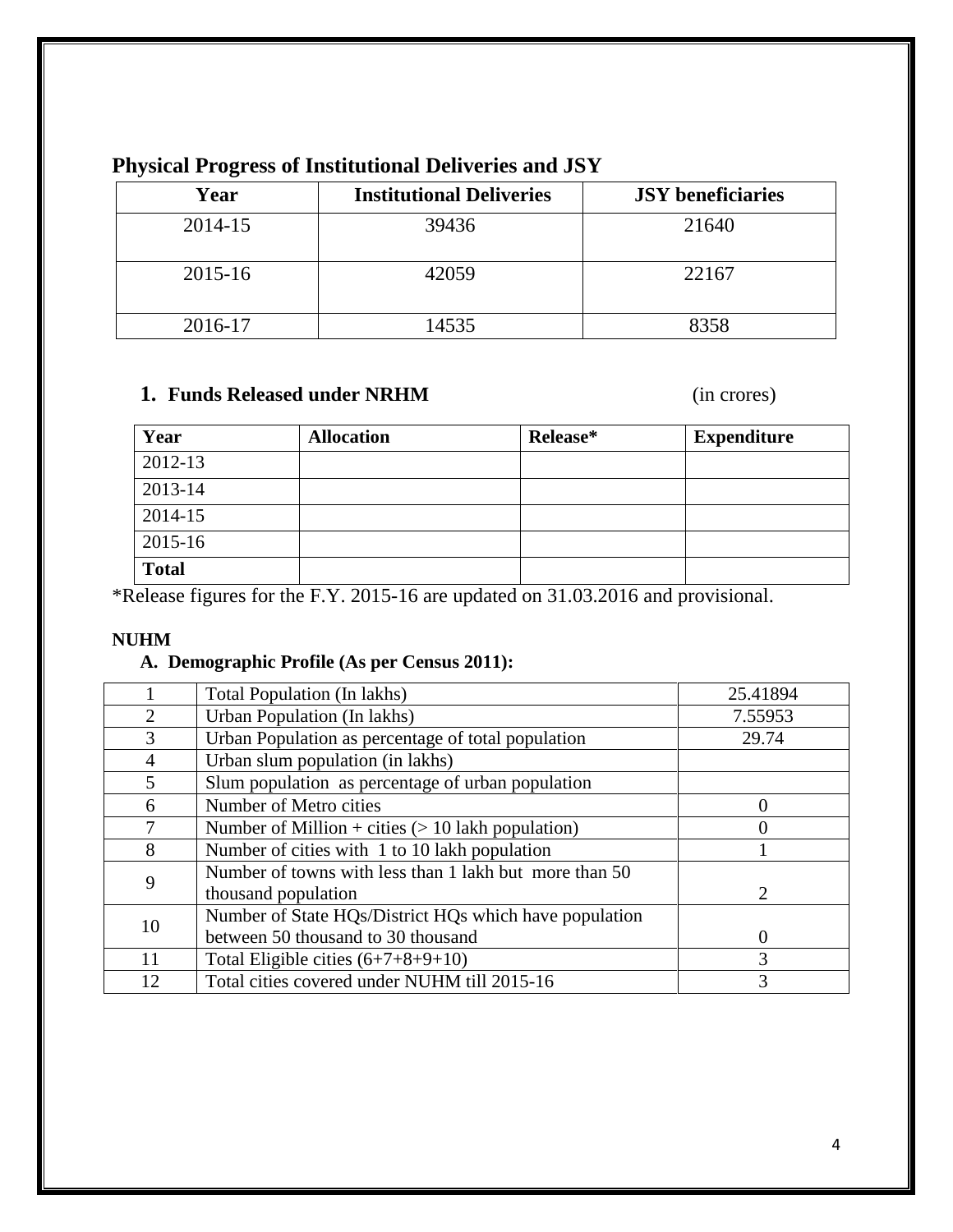| Year    | <b>Institutional Deliveries</b> | <b>JSY</b> beneficiaries |
|---------|---------------------------------|--------------------------|
| 2014-15 | 39436                           | 21640                    |
| 2015-16 | 42059                           | 22167                    |
| 2016-17 | 14535                           | २२८९                     |

### **Physical Progress of Institutional Deliveries and JSY**

#### **1. Funds Released under NRHM** (in crores)

| Year         | <b>Allocation</b> | Release* | <b>Expenditure</b> |
|--------------|-------------------|----------|--------------------|
| 2012-13      |                   |          |                    |
| 2013-14      |                   |          |                    |
| 2014-15      |                   |          |                    |
| 2015-16      |                   |          |                    |
| <b>Total</b> |                   |          |                    |

\*Release figures for the F.Y. 2015-16 are updated on 31.03.2016 and provisional.

#### **NUHM**

#### **A. Demographic Profile (As per Census 2011):**

|                | Total Population (In lakhs)                            | 25.41894 |
|----------------|--------------------------------------------------------|----------|
| $\overline{2}$ | Urban Population (In lakhs)                            | 7.55953  |
| 3              | Urban Population as percentage of total population     | 29.74    |
| 4              | Urban slum population (in lakhs)                       |          |
| 5              | Slum population as percentage of urban population      |          |
| 6              | Number of Metro cities                                 | $\Omega$ |
| 7              | Number of Million + cities $(> 10$ lakh population)    |          |
| 8              | Number of cities with 1 to 10 lakh population          |          |
|                | Number of towns with less than 1 lakh but more than 50 |          |
| 9              | thousand population                                    | 2        |
|                | Number of State HQs/District HQs which have population |          |
| 10             | between 50 thousand to 30 thousand                     | $\theta$ |
| 11             | Total Eligible cities $(6+7+8+9+10)$                   | 3        |
| 12             | Total cities covered under NUHM till 2015-16           | 3        |